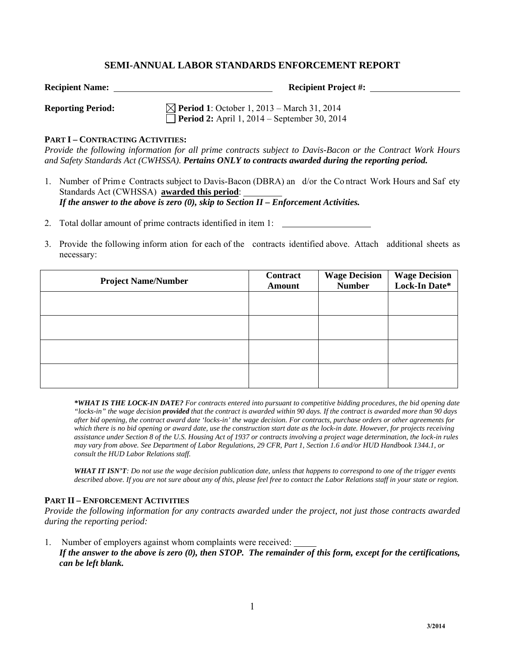# **SEMI-ANNUAL LABOR STANDARDS ENFORCEMENT REPORT**

**Recipient Name:** <u>**Recipient Project #: Recipient Project #: Recipient Project #:** <u>**Recipient Project #: Recipient Project #: Recipient Project #: Recipient Project #: Recipient Project #: Recipient Project</u></u>** 

**Reporting Period:** ∑ **Period 1**: October 1, 2013 – March 31, 2014 **Period 2:** April 1, 2014 – September 30, 2014

### **PART I – CONTRACTING ACTIVITIES:**

*Provide the following information for all prime contracts subject to Davis-Bacon or the Contract Work Hours and Safety Standards Act (CWHSSA). Pertains ONLY to contracts awarded during the reporting period.* 

- 1. Number of Prim e Contracts subject to Davis-Bacon (DBRA) an d/or the Co ntract Work Hours and Saf ety Standards Act (CWHSSA) **awarded this period**: *If the answer to the above is zero (0), skip to Section II – Enforcement Activities.*
- 2. Total dollar amount of prime contracts identified in item 1:
- 3. Provide the following inform ation for each of the contracts identified above. Attach additional sheets as necessary:

| <b>Project Name/Number</b> | Contract<br>Amount | <b>Wage Decision</b><br><b>Number</b> | <b>Wage Decision<br/>Lock-In Date*</b> |
|----------------------------|--------------------|---------------------------------------|----------------------------------------|
|                            |                    |                                       |                                        |
|                            |                    |                                       |                                        |
|                            |                    |                                       |                                        |
|                            |                    |                                       |                                        |

*\*WHAT IS THE LOCK-IN DATE? For contracts entered into pursuant to competitive bidding procedures, the bid opening date "locks-in" the wage decision provided that the contract is awarded within 90 days. If the contract is awarded more than 90 days after bid opening, the contract award date 'locks-in' the wage decision. For contracts, purchase orders or other agreements for which there is no bid opening or award date, use the construction start date as the lock-in date. However, for projects receiving assistance under Section 8 of the U.S. Housing Act of 1937 or contracts involving a project wage determination, the lock-in rules may vary from above. See Department of Labor Regulations, 29 CFR, Part 1, Section 1.6 and/or HUD Handbook 1344.1, or consult the HUD Labor Relations staff.* 

*WHAT IT ISN'T: Do not use the wage decision publication date, unless that happens to correspond to one of the trigger events described above. If you are not sure about any of this, please feel free to contact the Labor Relations staff in your state or region.* 

#### **PART II – ENFORCEMENT ACTIVITIES**

*Provide the following information for any contracts awarded under the project, not just those contracts awarded during the reporting period:*

1. Number of employers against whom complaints were received: *If the answer to the above is zero (0), then STOP. The remainder of this form, except for the certifications, can be left blank.*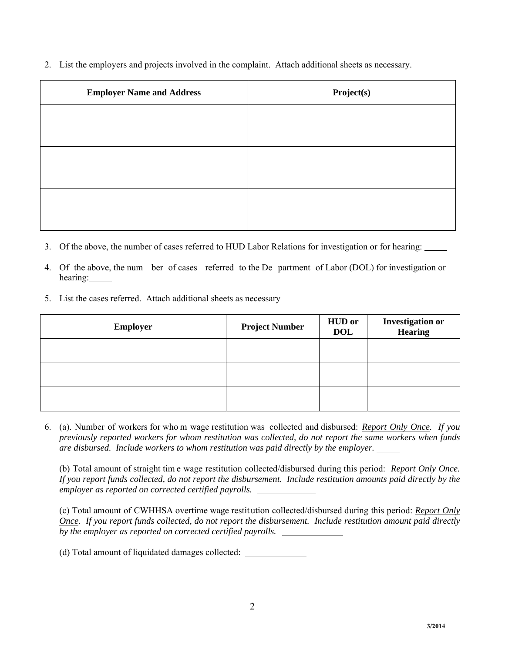2. List the employers and projects involved in the complaint. Attach additional sheets as necessary.

| <b>Employer Name and Address</b> | Project(s) |  |  |
|----------------------------------|------------|--|--|
|                                  |            |  |  |
|                                  |            |  |  |
|                                  |            |  |  |
|                                  |            |  |  |
|                                  |            |  |  |
|                                  |            |  |  |

- 3. Of the above, the number of cases referred to HUD Labor Relations for investigation or for hearing:
- 4. Of the above, the num ber of cases referred to the De partment of Labor (DOL) for investigation or hearing:
- 5. List the cases referred. Attach additional sheets as necessary

| <b>Employer</b> | <b>Project Number</b> | <b>HUD</b> or<br><b>DOL</b> | <b>Investigation or</b><br><b>Hearing</b> |
|-----------------|-----------------------|-----------------------------|-------------------------------------------|
|                 |                       |                             |                                           |
|                 |                       |                             |                                           |
|                 |                       |                             |                                           |

6. (a). Number of workers for who m wage restitution was collected and disbursed: *Report Only Once. If you previously reported workers for whom restitution was collected, do not report the same workers when funds are disbursed. Include workers to whom restitution was paid directly by the employer.* 

(b) Total amount of straight tim e wage restitution collected/disbursed during this period: *Report Only Once. If you report funds collected, do not report the disbursement. Include restitution amounts paid directly by the employer as reported on corrected certified payrolls.*

(c) Total amount of CWHHSA overtime wage restit ution collected/disbursed during this period: *Report Only Once. If you report funds collected, do not report the disbursement. Include restitution amount paid directly by the employer as reported on corrected certified payrolls.* 

(d) Total amount of liquidated damages collected: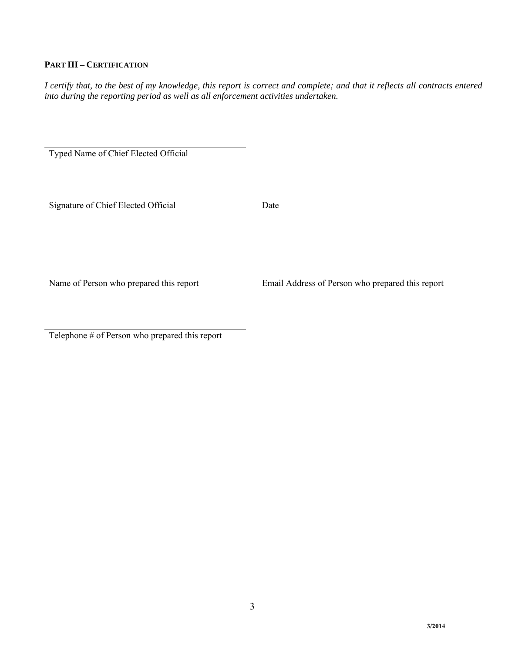# **PART III – CERTIFICATION**

*I certify that, to the best of my knowledge, this report is correct and complete; and that it reflects all contracts entered into during the reporting period as well as all enforcement activities undertaken.* 

Typed Name of Chief Elected Official

Signature of Chief Elected Official Date

Name of Person who prepared this report Email Address of Person who prepared this report

Telephone # of Person who prepared this report